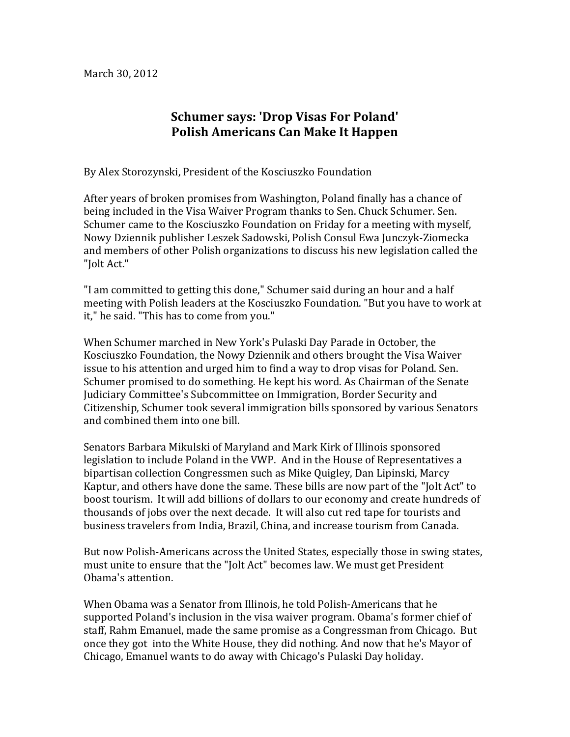## **Schumer says: 'Drop Visas For Poland' Polish!Americans!Can!Make!It!Happen**

By Alex Storozynski, President of the Kosciuszko Foundation

After years of broken promises from Washington, Poland finally has a chance of being included in the Visa Waiver Program thanks to Sen. Chuck Schumer. Sen. Schumer came to the Kosciuszko Foundation on Friday for a meeting with myself, Nowy Dziennik publisher Leszek Sadowski, Polish Consul Ewa Junczyk-Ziomecka and members of other Polish organizations to discuss his new legislation called the "Iolt Act."

"I am committed to getting this done," Schumer said during an hour and a half meeting with Polish leaders at the Kosciuszko Foundation. "But you have to work at it," he said. "This has to come from you."

When Schumer marched in New York's Pulaski Day Parade in October, the Kosciuszko Foundation, the Nowy Dziennik and others brought the Visa Waiver issue to his attention and urged him to find a way to drop visas for Poland. Sen. Schumer promised to do something. He kept his word. As Chairman of the Senate Judiciary Committee's Subcommittee on Immigration, Border Security and Citizenship, Schumer took several immigration bills sponsored by various Senators and combined them into one bill.

Senators Barbara Mikulski of Maryland and Mark Kirk of Illinois sponsored legislation to include Poland in the VWP. And in the House of Representatives a bipartisan collection Congressmen such as Mike Quigley, Dan Lipinski, Marcy Kaptur, and others have done the same. These bills are now part of the "Jolt Act" to boost tourism. It will add billions of dollars to our economy and create hundreds of thousands of jobs over the next decade. It will also cut red tape for tourists and business travelers from India, Brazil, China, and increase tourism from Canada.

But now Polish-Americans across the United States, especially those in swing states, must unite to ensure that the "Jolt Act" becomes law. We must get President Obama's attention.

When Obama was a Senator from Illinois, he told Polish-Americans that he supported Poland's inclusion in the visa waiver program. Obama's former chief of staff, Rahm Emanuel, made the same promise as a Congressman from Chicago. But once they got into the White House, they did nothing. And now that he's Mayor of Chicago, Emanuel wants to do away with Chicago's Pulaski Day holiday.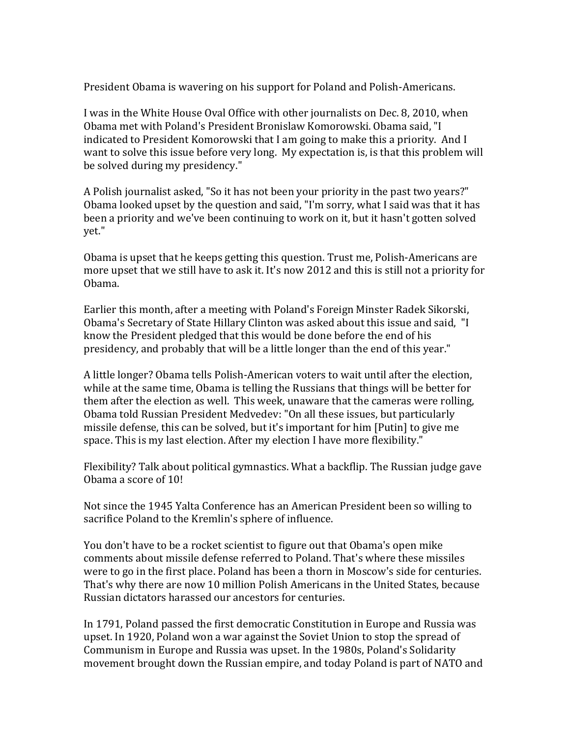President Obama is wavering on his support for Poland and Polish-Americans.

I was in the White House Oval Office with other journalists on Dec. 8, 2010, when Obama met with Poland's President Bronislaw Komorowski. Obama said, "I indicated to President Komorowski that I am going to make this a priority. And I want to solve this issue before very long. My expectation is, is that this problem will be solved during my presidency."

A Polish journalist asked, "So it has not been your priority in the past two years?" Obama looked upset by the question and said, "I'm sorry, what I said was that it has been a priority and we've been continuing to work on it, but it hasn't gotten solved vet."

Obama is upset that he keeps getting this question. Trust me, Polish-Americans are more upset that we still have to ask it. It's now 2012 and this is still not a priority for Obama.&

Earlier this month, after a meeting with Poland's Foreign Minster Radek Sikorski, Obama's Secretary of State Hillary Clinton was asked about this issue and said, "I know the President pledged that this would be done before the end of his presidency, and probably that will be a little longer than the end of this year."

A little longer? Obama tells Polish-American voters to wait until after the election, while at the same time, Obama is telling the Russians that things will be better for them after the election as well. This week, unaware that the cameras were rolling, Obama told Russian President Medvedev: "On all these issues, but particularly missile defense, this can be solved, but it's important for him [Putin] to give me space. This is my last election. After my election I have more flexibility."

Flexibility? Talk about political gymnastics. What a backflip. The Russian judge gave Obama a score of 10!

Not since the 1945 Yalta Conference has an American President been so willing to sacrifice Poland to the Kremlin's sphere of influence.

You don't have to be a rocket scientist to figure out that Obama's open mike comments about missile defense referred to Poland. That's where these missiles were to go in the first place. Poland has been a thorn in Moscow's side for centuries. That's why there are now 10 million Polish Americans in the United States, because Russian dictators harassed our ancestors for centuries.

In 1791, Poland passed the first democratic Constitution in Europe and Russia was upset. In 1920, Poland won a war against the Soviet Union to stop the spread of Communism in Europe and Russia was upset. In the 1980s, Poland's Solidarity movement brought down the Russian empire, and today Poland is part of NATO and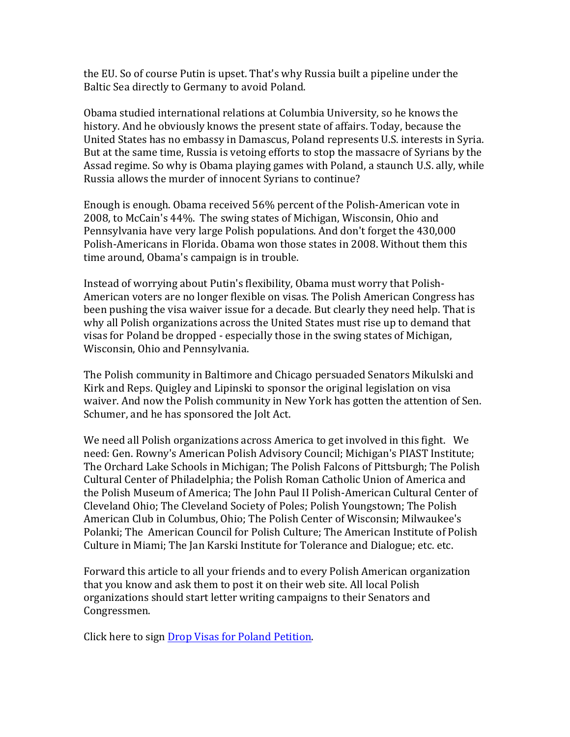the EU. So of course Putin is upset. That's why Russia built a pipeline under the Baltic Sea directly to Germany to avoid Poland.

Obama studied international relations at Columbia University, so he knows the history. And he obviously knows the present state of affairs. Today, because the United States has no embassy in Damascus, Poland represents U.S. interests in Syria. But at the same time, Russia is vetoing efforts to stop the massacre of Syrians by the Assad regime. So why is Obama playing games with Poland, a staunch U.S. ally, while Russia allows the murder of innocent Syrians to continue?

Enough is enough. Obama received 56% percent of the Polish-American vote in 2008, to McCain's 44%. The swing states of Michigan, Wisconsin, Ohio and Pennsylvania have very large Polish populations. And don't forget the 430,000 Polish-Americans in Florida. Obama won those states in 2008. Without them this time around, Obama's campaign is in trouble.

Instead of worrying about Putin's flexibility, Obama must worry that Polish-American voters are no longer flexible on visas. The Polish American Congress has been pushing the visa waiver issue for a decade. But clearly they need help. That is why all Polish organizations across the United States must rise up to demand that visas for Poland be dropped - especially those in the swing states of Michigan, Wisconsin, Ohio and Pennsylvania.

The Polish community in Baltimore and Chicago persuaded Senators Mikulski and Kirk and Reps. Quigley and Lipinski to sponsor the original legislation on visa waiver. And now the Polish community in New York has gotten the attention of Sen. Schumer, and he has sponsored the Jolt Act.

We need all Polish organizations across America to get involved in this fight. We need: Gen. Rowny's American Polish Advisory Council; Michigan's PIAST Institute; The Orchard Lake Schools in Michigan: The Polish Falcons of Pittsburgh; The Polish Cultural Center of Philadelphia; the Polish Roman Catholic Union of America and the Polish Museum of America; The John Paul II Polish-American Cultural Center of Cleveland Ohio; The Cleveland Society of Poles; Polish Youngstown; The Polish American Club in Columbus, Ohio; The Polish Center of Wisconsin; Milwaukee's Polanki; The American Council for Polish Culture; The American Institute of Polish Culture in Miami; The Jan Karski Institute for Tolerance and Dialogue; etc. etc.

Forward this article to all your friends and to every Polish American organization that you know and ask them to post it on their web site. All local Polish organizations should start letter writing campaigns to their Senators and Congressmen.&

Click here to sign Drop Visas for Poland Petition.